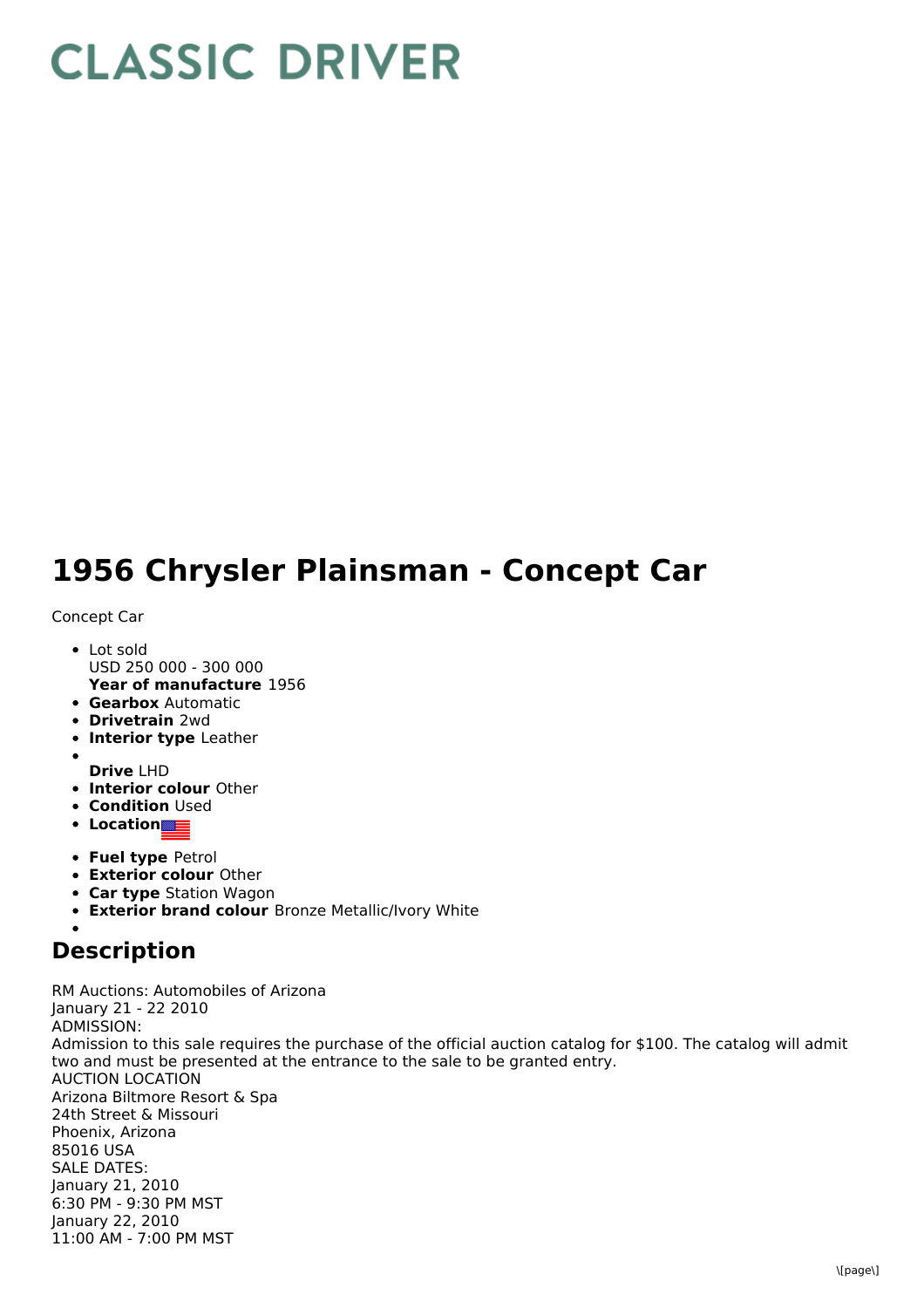## **CLASSIC DRIVER**

## **1956 Chrysler Plainsman - Concept Car**

## Concept Car

- **Year of manufacture** 1956 • Lot sold USD 250 000 - 300 000
- **Gearbox** Automatic
- **Drivetrain** 2wd
- **Interior type** Leather
- **Drive** LHD
- **Interior colour** Other
- **Condition Used**
- **Location**
- **Fuel type** Petrol
- **Exterior colour** Other
- **Car type** Station Wagon
- **Exterior brand colour** Bronze Metallic/Ivory White

## **Description**

RM Auctions: Automobiles of Arizona January 21 - 22 2010 ADMISSION: Admission to this sale requires the purchase of the official auction catalog for \$100. The catalog will admit two and must be presented at the entrance to the sale to be granted entry. AUCTION LOCATION Arizona Biltmore Resort & Spa 24th Street & Missouri Phoenix, Arizona 85016 USA SALE DATES: January 21, 2010 6:30 PM - 9:30 PM MST January 22, 2010 11:00 AM - 7:00 PM MST